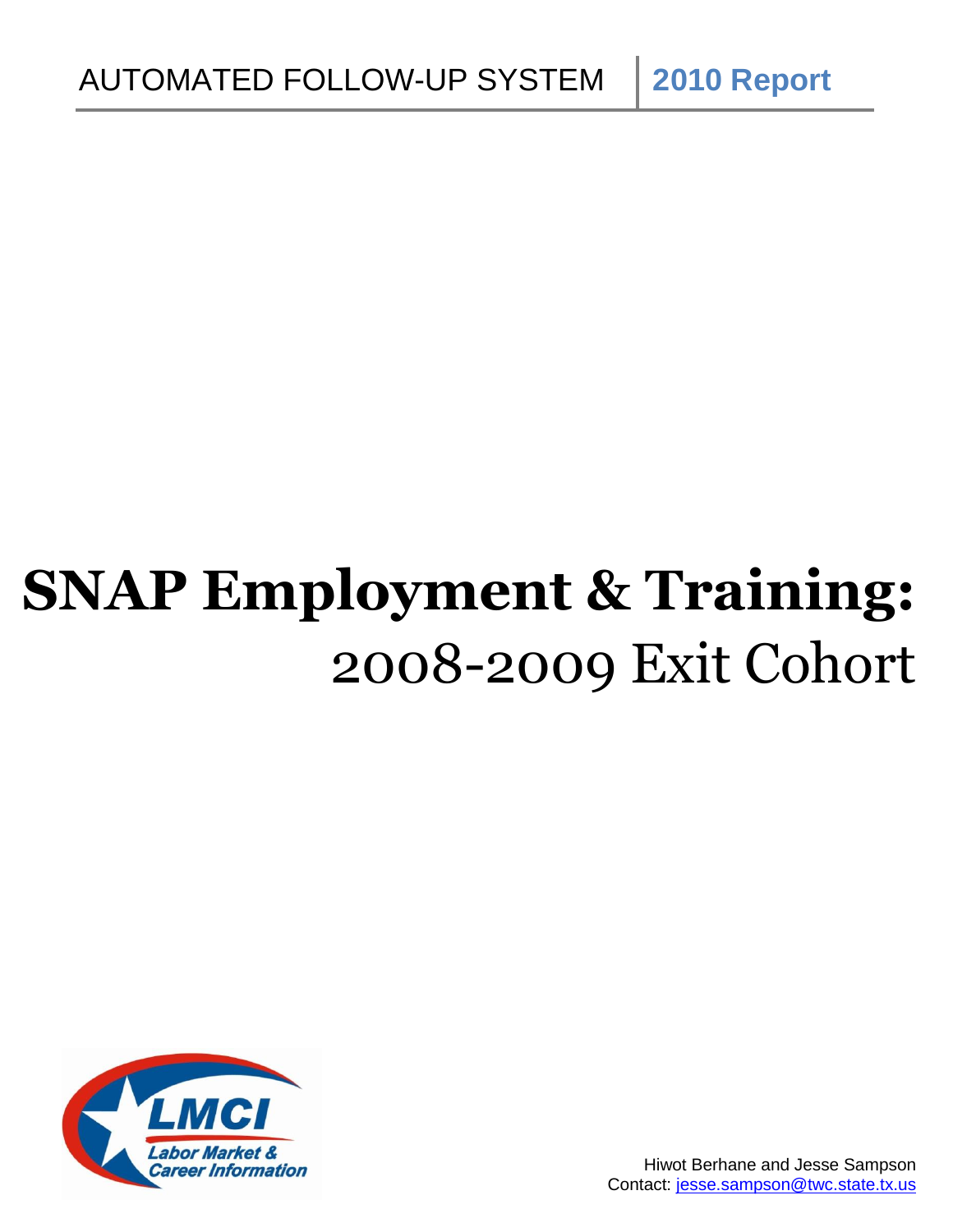**SNAP Employment & Training:** 2008-2009 Exit Cohort

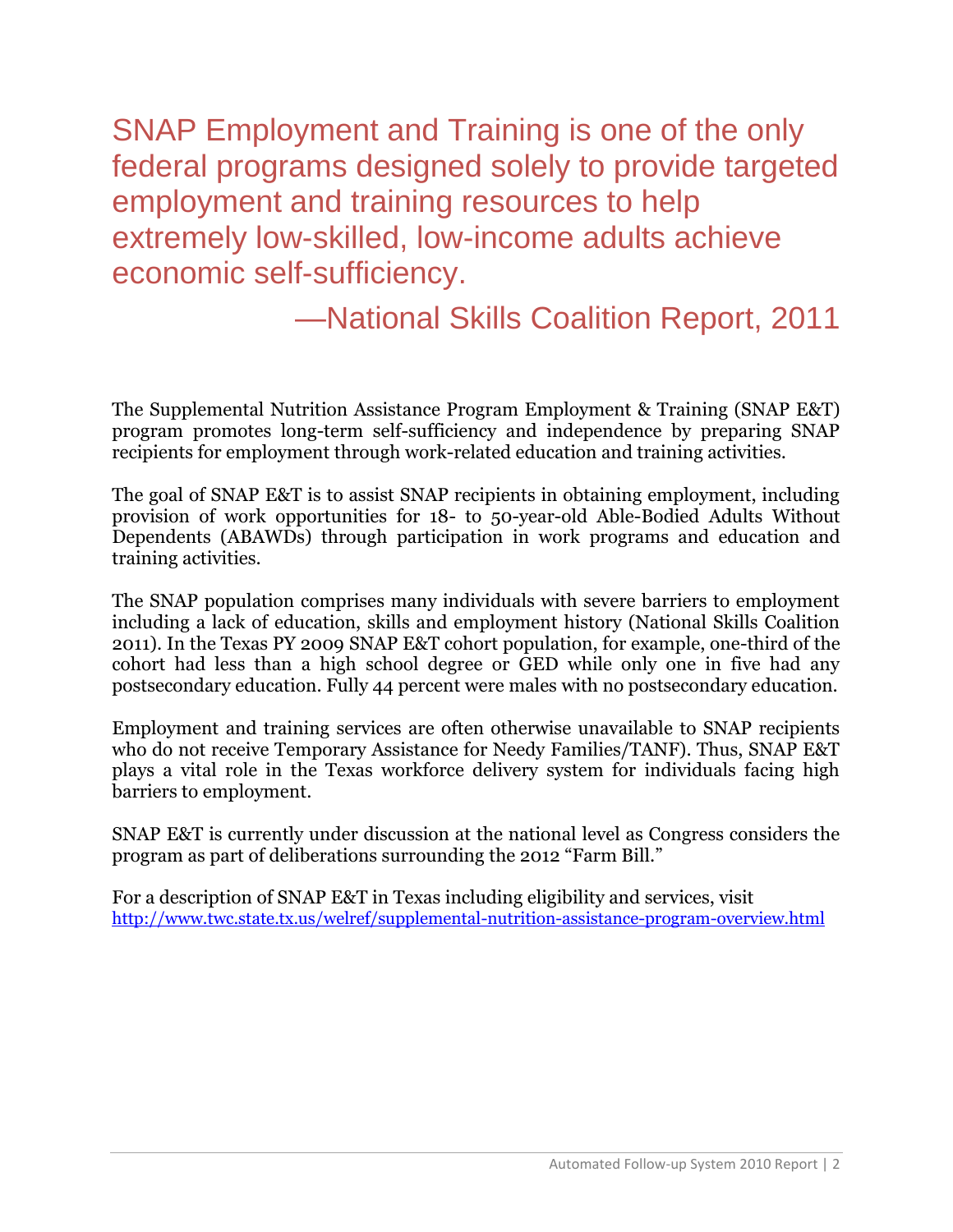SNAP Employment and Training is one of the only federal programs designed solely to provide targeted employment and training resources to help extremely low-skilled, low-income adults achieve economic self-sufficiency.

—National Skills Coalition Report, 2011

The Supplemental Nutrition Assistance Program Employment & Training (SNAP E&T) program promotes long-term self-sufficiency and independence by preparing SNAP recipients for employment through work-related education and training activities.

The goal of SNAP E&T is to assist SNAP recipients in obtaining employment, including provision of work opportunities for 18- to 50-year-old Able-Bodied Adults Without Dependents (ABAWDs) through participation in work programs and education and training activities.

The SNAP population comprises many individuals with severe barriers to employment including a lack of education, skills and employment history (National Skills Coalition 2011). In the Texas PY 2009 SNAP E&T cohort population, for example, one-third of the cohort had less than a high school degree or GED while only one in five had any postsecondary education. Fully 44 percent were males with no postsecondary education.

Employment and training services are often otherwise unavailable to SNAP recipients who do not receive Temporary Assistance for Needy Families/TANF). Thus, SNAP E&T plays a vital role in the Texas workforce delivery system for individuals facing high barriers to employment.

SNAP E&T is currently under discussion at the national level as Congress considers the program as part of deliberations surrounding the 2012 "Farm Bill."

For a description of SNAP E&T in Texas including eligibility and services, visit <http://www.twc.state.tx.us/welref/supplemental-nutrition-assistance-program-overview.html>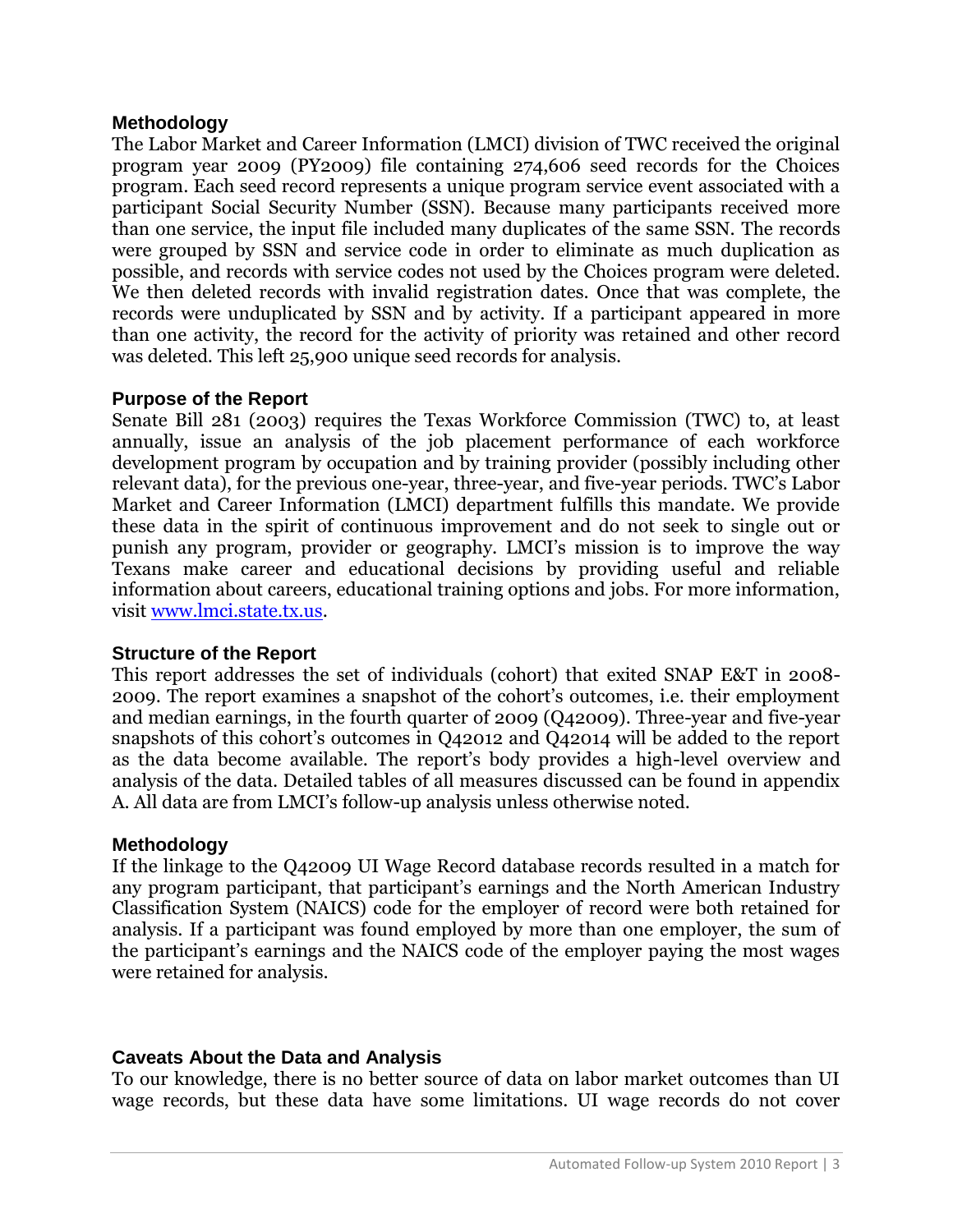## **Methodology**

The Labor Market and Career Information (LMCI) division of TWC received the original program year 2009 (PY2009) file containing 274,606 seed records for the Choices program. Each seed record represents a unique program service event associated with a participant Social Security Number (SSN). Because many participants received more than one service, the input file included many duplicates of the same SSN. The records were grouped by SSN and service code in order to eliminate as much duplication as possible, and records with service codes not used by the Choices program were deleted. We then deleted records with invalid registration dates. Once that was complete, the records were unduplicated by SSN and by activity. If a participant appeared in more than one activity, the record for the activity of priority was retained and other record was deleted. This left 25,900 unique seed records for analysis.

## **Purpose of the Report**

Senate Bill 281 (2003) requires the Texas Workforce Commission (TWC) to, at least annually, issue an analysis of the job placement performance of each workforce development program by occupation and by training provider (possibly including other relevant data), for the previous one-year, three-year, and five-year periods. TWC's Labor Market and Career Information (LMCI) department fulfills this mandate. We provide these data in the spirit of continuous improvement and do not seek to single out or punish any program, provider or geography. LMCI's mission is to improve the way Texans make career and educational decisions by providing useful and reliable information about careers, educational training options and jobs. For more information, visit [www.lmci.state.tx.us.](http://www.lmci.state.tx.us/)

## **Structure of the Report**

This report addresses the set of individuals (cohort) that exited SNAP E&T in 2008- 2009. The report examines a snapshot of the cohort's outcomes, i.e. their employment and median earnings, in the fourth quarter of 2009 (Q42009). Three-year and five-year snapshots of this cohort's outcomes in Q42012 and Q42014 will be added to the report as the data become available. The report's body provides a high-level overview and analysis of the data. Detailed tables of all measures discussed can be found in appendix A. All data are from LMCI's follow-up analysis unless otherwise noted.

## **Methodology**

If the linkage to the Q42009 UI Wage Record database records resulted in a match for any program participant, that participant's earnings and the North American Industry Classification System (NAICS) code for the employer of record were both retained for analysis. If a participant was found employed by more than one employer, the sum of the participant's earnings and the NAICS code of the employer paying the most wages were retained for analysis.

## **Caveats About the Data and Analysis**

To our knowledge, there is no better source of data on labor market outcomes than UI wage records, but these data have some limitations. UI wage records do not cover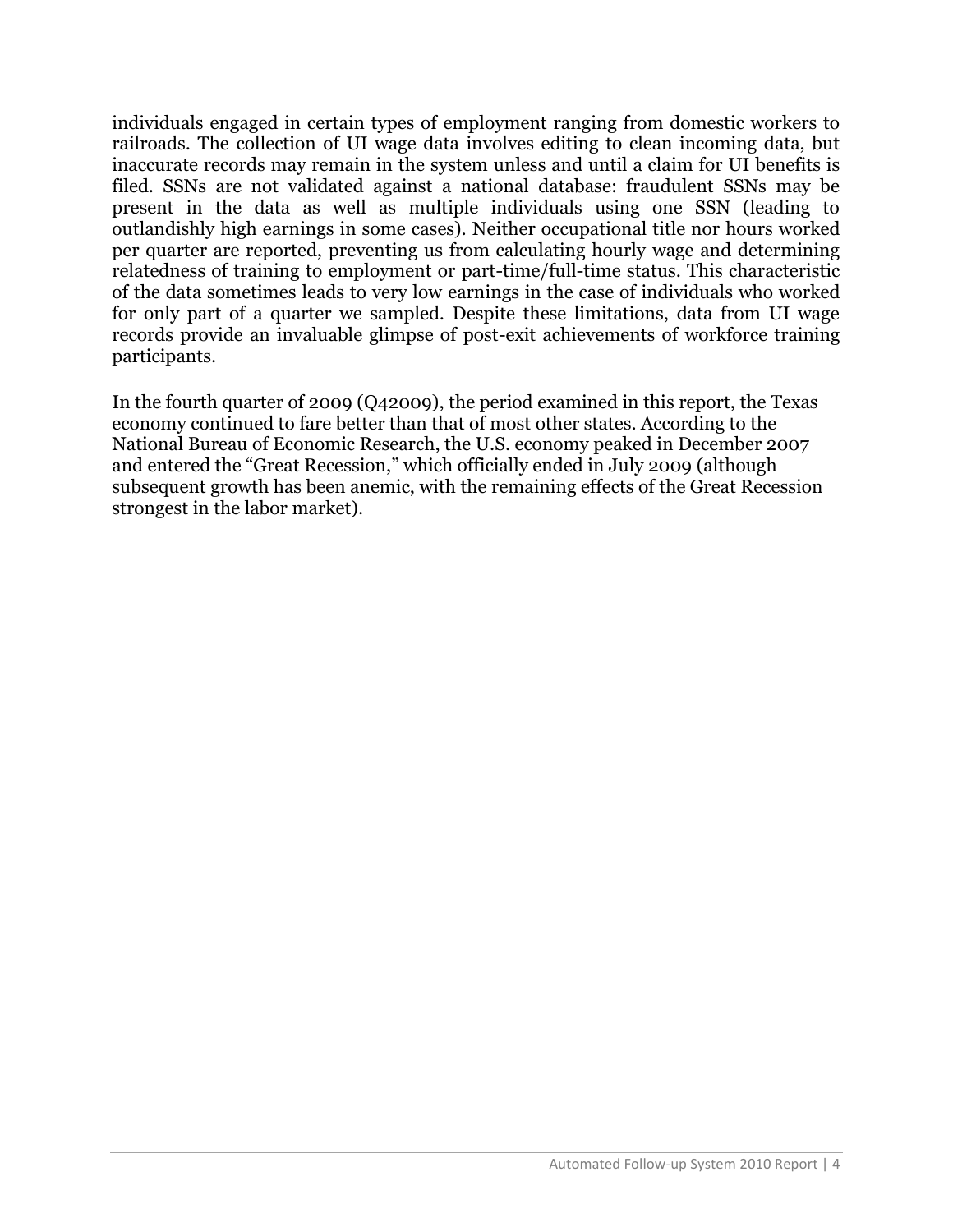individuals engaged in certain types of employment ranging from domestic workers to railroads. The collection of UI wage data involves editing to clean incoming data, but inaccurate records may remain in the system unless and until a claim for UI benefits is filed. SSNs are not validated against a national database: fraudulent SSNs may be present in the data as well as multiple individuals using one SSN (leading to outlandishly high earnings in some cases). Neither occupational title nor hours worked per quarter are reported, preventing us from calculating hourly wage and determining relatedness of training to employment or part-time/full-time status. This characteristic of the data sometimes leads to very low earnings in the case of individuals who worked for only part of a quarter we sampled. Despite these limitations, data from UI wage records provide an invaluable glimpse of post-exit achievements of workforce training participants.

In the fourth quarter of 2009 (Q42009), the period examined in this report, the Texas economy continued to fare better than that of most other states. According to the National Bureau of Economic Research, the U.S. economy peaked in December 2007 and entered the "Great Recession," which officially ended in July 2009 (although subsequent growth has been anemic, with the remaining effects of the Great Recession strongest in the labor market).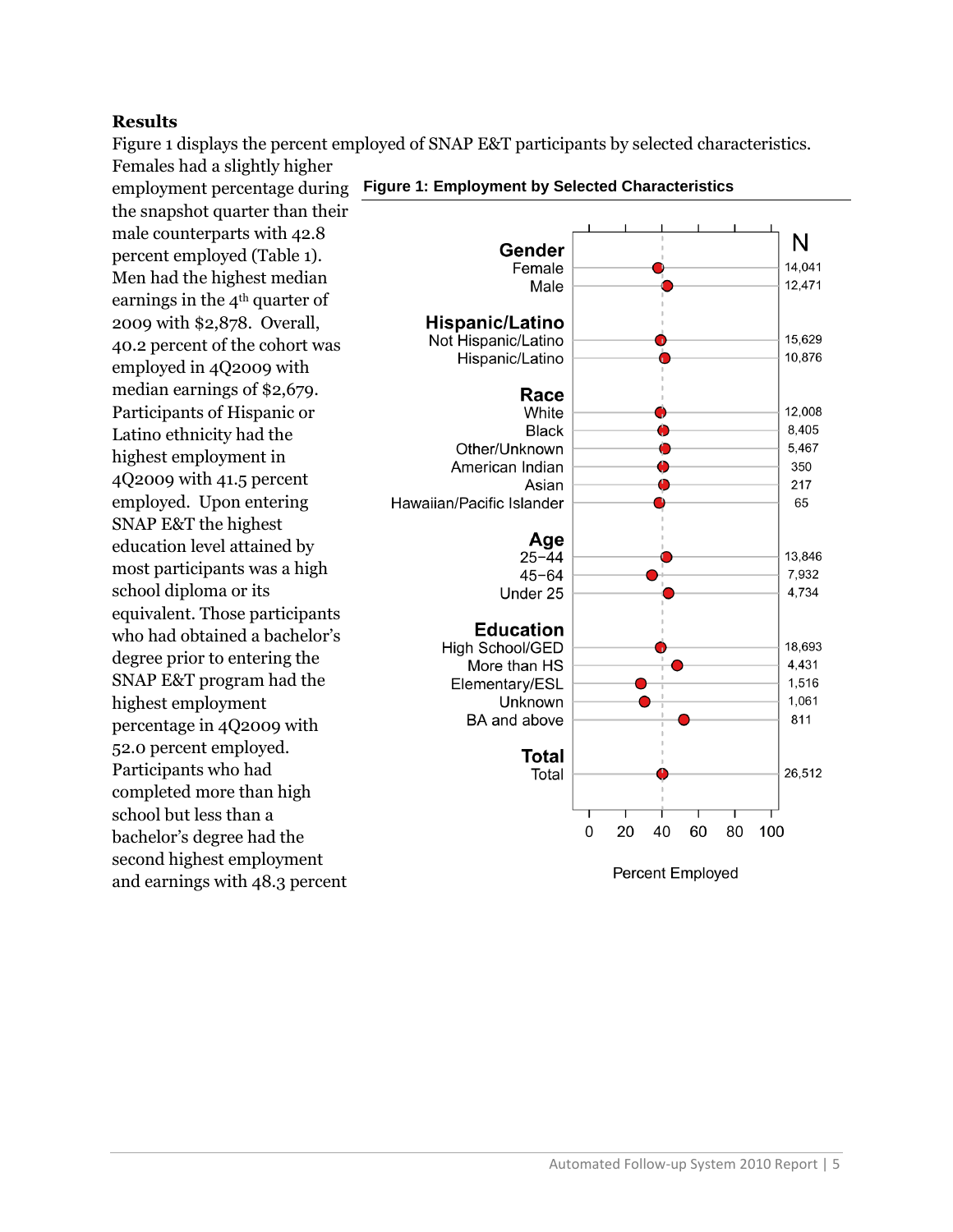#### **Results**

Figure 1 displays the percent employed of SNAP E&T participants by selected characteristics. Females had a slightly higher

employment percentage during the snapshot quarter than their male counterparts with 42.8 percent employed (Table 1). Men had the highest median earnings in the 4<sup>th</sup> quarter of 2009 with \$2,878. Overall, 40.2 percent of the cohort was employed in 4Q2009 with median earnings of \$2,679. Participants of Hispanic or Latino ethnicity had the highest employment in 4Q2009 with 41.5 percent employed. Upon entering SNAP E&T the highest education level attained by most participants was a high school diploma or its equivalent. Those participants who had obtained a bachelor's degree prior to entering the SNAP E&T program had the highest employment percentage in 4Q2009 with 52.0 percent employed. Participants who had completed more than high school but less than a bachelor's degree had the second highest employment and earnings with 48.3 percent



#### **Figure 1: Employment by Selected Characteristics**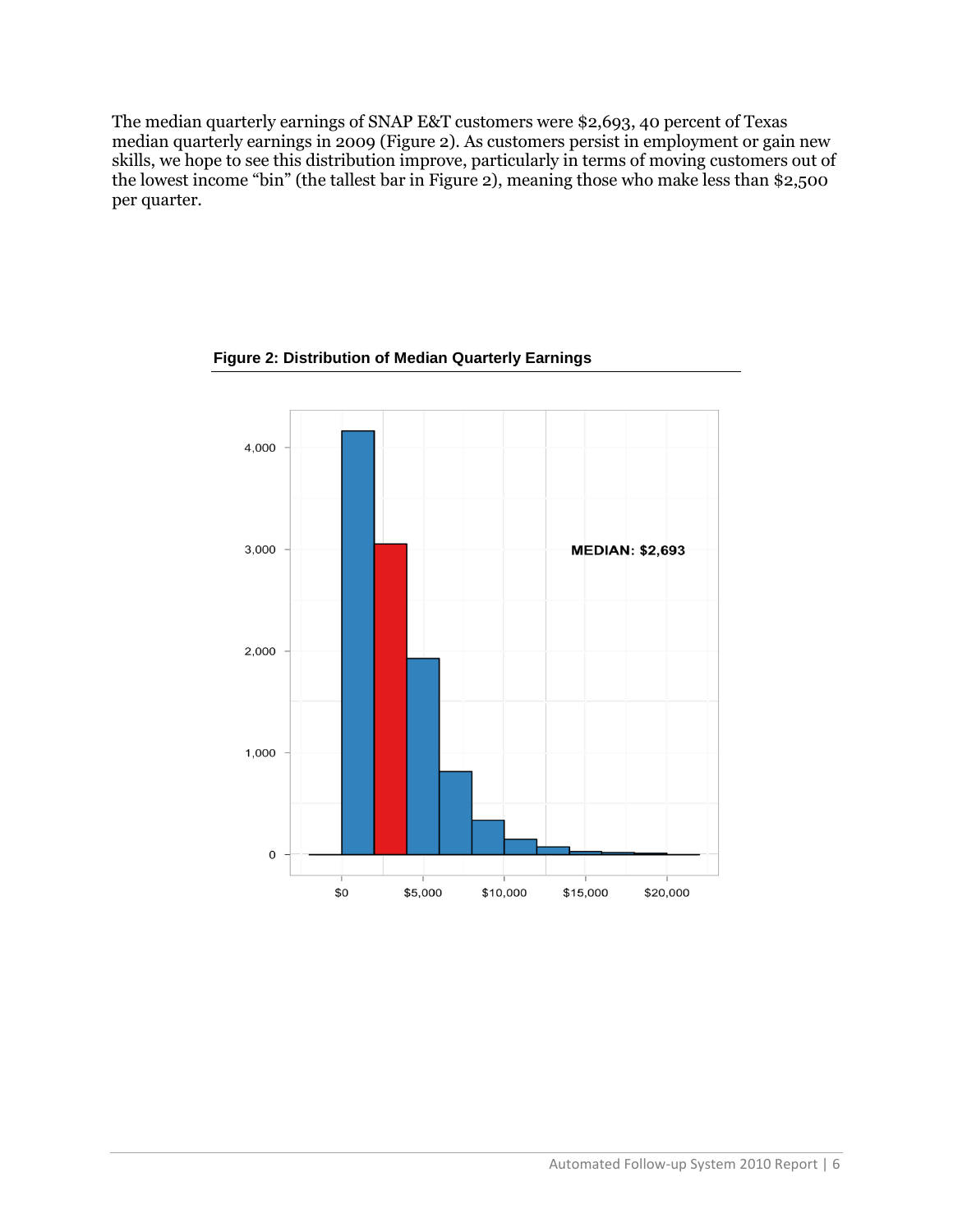The median quarterly earnings of SNAP E&T customers were \$2,693, 40 percent of Texas median quarterly earnings in 2009 (Figure 2). As customers persist in employment or gain new skills, we hope to see this distribution improve, particularly in terms of moving customers out of the lowest income "bin" (the tallest bar in Figure 2), meaning those who make less than \$2,500 per quarter.



**Figure 2: Distribution of Median Quarterly Earnings**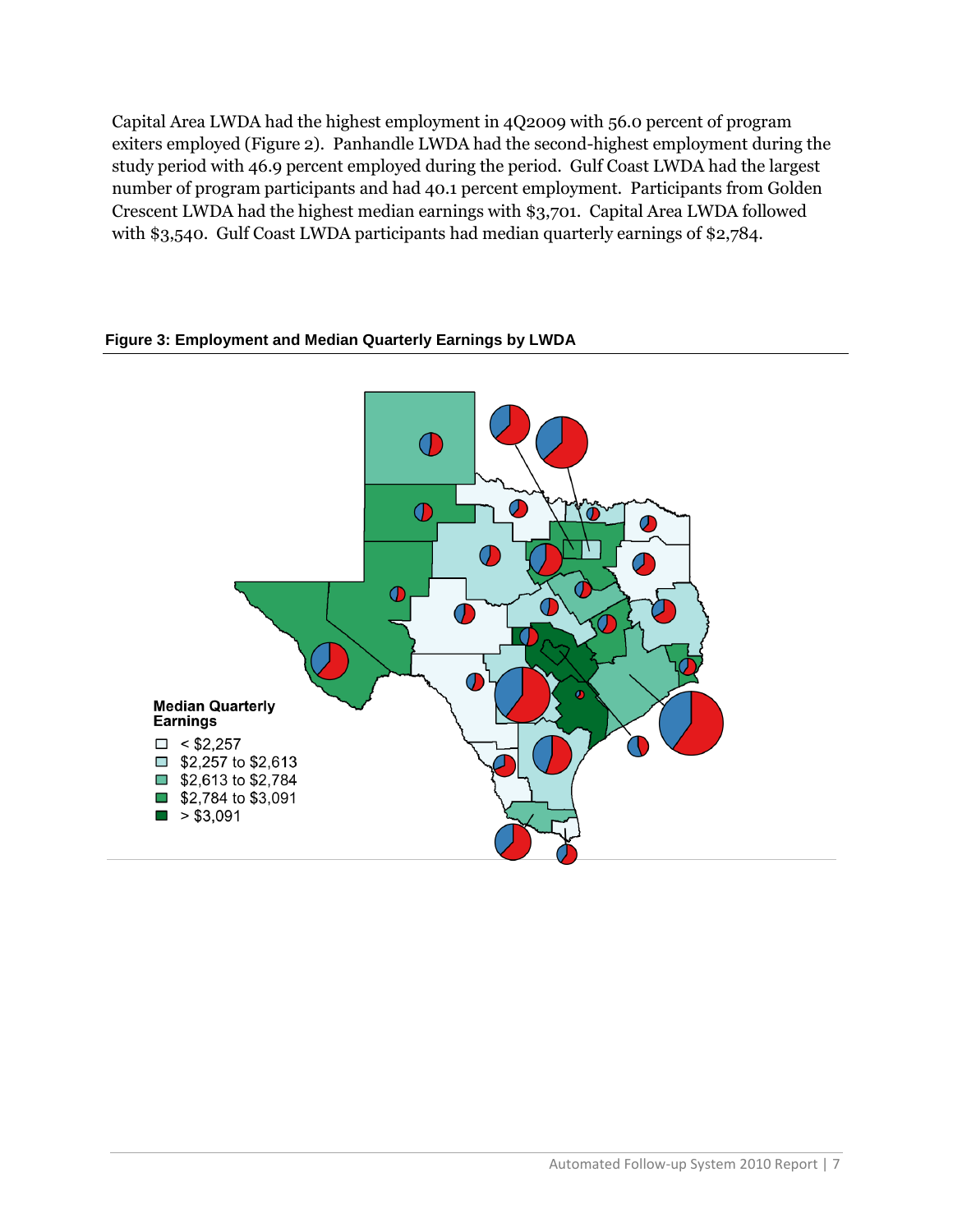Capital Area LWDA had the highest employment in 4Q2009 with 56.0 percent of program exiters employed (Figure 2). Panhandle LWDA had the second-highest employment during the study period with 46.9 percent employed during the period. Gulf Coast LWDA had the largest number of program participants and had 40.1 percent employment. Participants from Golden Crescent LWDA had the highest median earnings with \$3,701. Capital Area LWDA followed with \$3,540. Gulf Coast LWDA participants had median quarterly earnings of \$2,784.



#### **Figure 3: Employment and Median Quarterly Earnings by LWDA**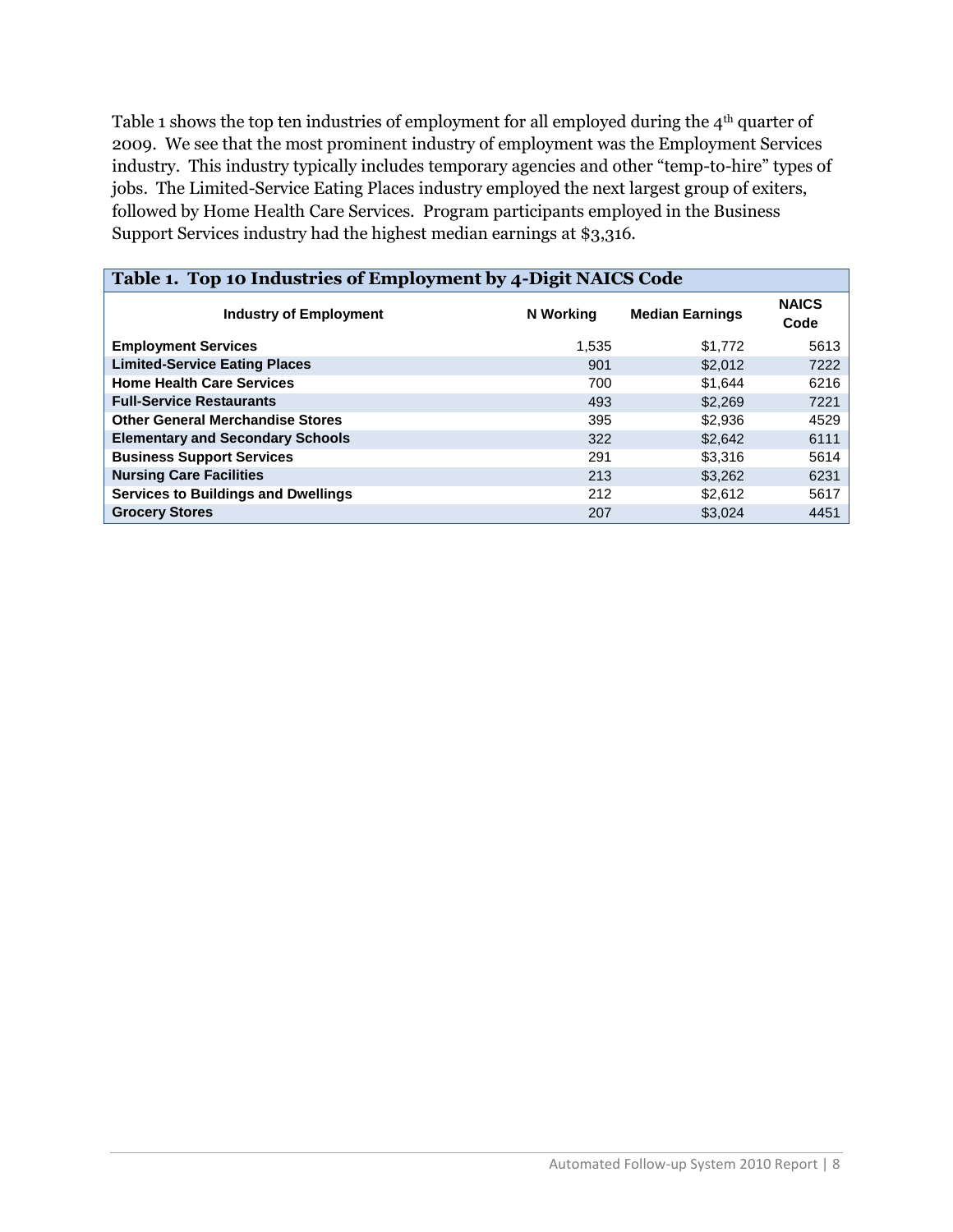Table 1 shows the top ten industries of employment for all employed during the 4<sup>th</sup> quarter of 2009. We see that the most prominent industry of employment was the Employment Services industry. This industry typically includes temporary agencies and other "temp-to-hire" types of jobs. The Limited-Service Eating Places industry employed the next largest group of exiters, followed by Home Health Care Services. Program participants employed in the Business Support Services industry had the highest median earnings at \$3,316.

| Table 1. Top 10 Industries of Employment by 4-Digit NAICS Code |           |                        |                      |  |  |  |  |  |
|----------------------------------------------------------------|-----------|------------------------|----------------------|--|--|--|--|--|
| <b>Industry of Employment</b>                                  | N Working | <b>Median Earnings</b> | <b>NAICS</b><br>Code |  |  |  |  |  |
| <b>Employment Services</b>                                     | 1.535     | \$1.772                | 5613                 |  |  |  |  |  |
| <b>Limited-Service Eating Places</b>                           | 901       | \$2,012                | 7222                 |  |  |  |  |  |
| <b>Home Health Care Services</b>                               | 700       | \$1.644                | 6216                 |  |  |  |  |  |
| <b>Full-Service Restaurants</b>                                | 493       | \$2,269                | 7221                 |  |  |  |  |  |
| <b>Other General Merchandise Stores</b>                        | 395       | \$2,936                | 4529                 |  |  |  |  |  |
| <b>Elementary and Secondary Schools</b>                        | 322       | \$2,642                | 6111                 |  |  |  |  |  |
| <b>Business Support Services</b>                               | 291       | \$3.316                | 5614                 |  |  |  |  |  |
| <b>Nursing Care Facilities</b>                                 | 213       | \$3.262                | 6231                 |  |  |  |  |  |
| <b>Services to Buildings and Dwellings</b>                     | 212       | \$2.612                | 5617                 |  |  |  |  |  |
| <b>Grocery Stores</b>                                          | 207       | \$3.024                | 4451                 |  |  |  |  |  |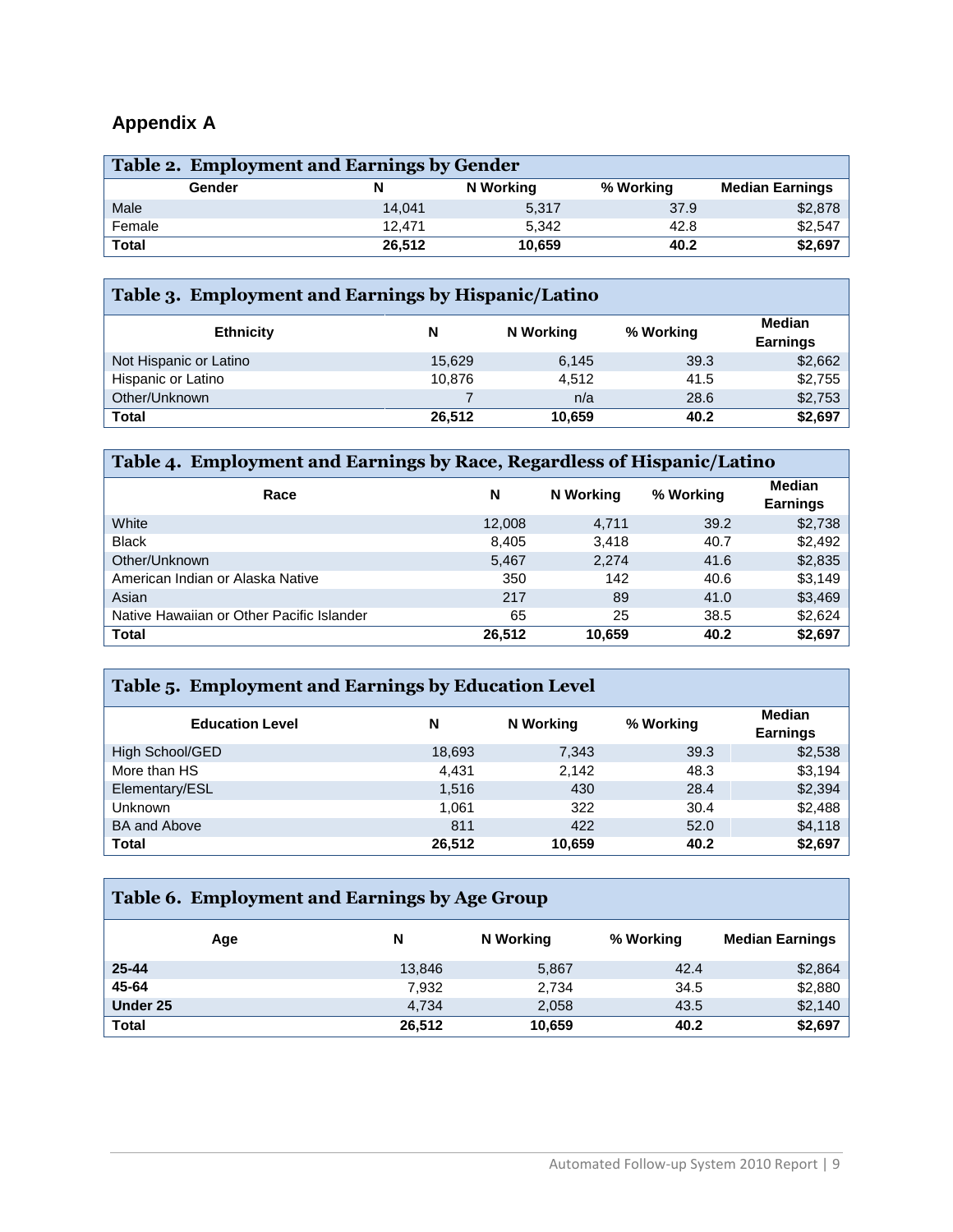## **Appendix A**

| Table 2. Employment and Earnings by Gender |        |        |           |           |                        |  |  |  |
|--------------------------------------------|--------|--------|-----------|-----------|------------------------|--|--|--|
|                                            | Gender |        | N Working | % Working | <b>Median Earnings</b> |  |  |  |
| Male                                       |        | 14.041 | 5,317     | 37.9      | \$2,878                |  |  |  |
| Female                                     |        | 12.471 | 5.342     | 42.8      | \$2,547                |  |  |  |
| <b>Total</b>                               |        | 26.512 | 10.659    | 40.2      | \$2,697                |  |  |  |

### **Table 3. Employment and Earnings by Hispanic/Latino**

| <b>Ethnicity</b>       | N      | N Working | % Working | Median<br><b>Earnings</b> |  |
|------------------------|--------|-----------|-----------|---------------------------|--|
| Not Hispanic or Latino | 15.629 | 6,145     | 39.3      | \$2,662                   |  |
| Hispanic or Latino     | 10.876 | 4,512     | 41.5      | \$2,755                   |  |
| Other/Unknown          |        | n/a       | 28.6      | \$2,753                   |  |
| <b>Total</b>           | 26.512 | 10,659    | 40.2      | \$2,697                   |  |

#### **Table 4. Employment and Earnings by Race, Regardless of Hispanic/Latino Race <sup>N</sup> N Working % Working Median Earnings** White 12,008 4,711 39.2 \$2,738 Black 8,405 3,418 40.7 \$2,492 Other/Unknown \$2,835 **5,467** 2,274 41.6 \$2,835 American Indian or Alaska Native 1350 142 40.6 \$3,149 Asian 217 89 41.0 \$3,469 41.0 \$3,469 53,469 53,469 53,469 53,469 53,469 53,469 53,469 53,469 53,469 53,469 53, Native Hawaiian or Other Pacific Islander 1992 165 165 25 38.5 \$2,624 **Total 26,512 10,659 40.2 \$2,697**

| Table 5. Employment and Earnings by Education Level |        |           |           |                                  |  |  |  |  |  |  |
|-----------------------------------------------------|--------|-----------|-----------|----------------------------------|--|--|--|--|--|--|
| <b>Education Level</b>                              | N      | N Working | % Working | <b>Median</b><br><b>Earnings</b> |  |  |  |  |  |  |
| High School/GED                                     | 18,693 | 7,343     | 39.3      | \$2,538                          |  |  |  |  |  |  |
| More than HS                                        | 4,431  | 2,142     | 48.3      | \$3,194                          |  |  |  |  |  |  |
| Elementary/ESL                                      | 1,516  | 430       | 28.4      | \$2,394                          |  |  |  |  |  |  |
| <b>Unknown</b>                                      | 1.061  | 322       | 30.4      | \$2,488                          |  |  |  |  |  |  |
| <b>BA and Above</b>                                 | 811    | 422       | 52.0      | \$4,118                          |  |  |  |  |  |  |
| <b>Total</b>                                        | 26,512 | 10,659    | 40.2      | \$2,697                          |  |  |  |  |  |  |

| Table 6. Employment and Earnings by Age Group |     |        |           |           |                        |  |  |  |
|-----------------------------------------------|-----|--------|-----------|-----------|------------------------|--|--|--|
|                                               | Age | N      | N Working | % Working | <b>Median Earnings</b> |  |  |  |
| $25 - 44$                                     |     | 13,846 | 5,867     | 42.4      | \$2,864                |  |  |  |
| 45-64                                         |     | 7,932  | 2,734     | 34.5      | \$2,880                |  |  |  |
| Under 25                                      |     | 4,734  | 2,058     | 43.5      | \$2,140                |  |  |  |
| <b>Total</b>                                  |     | 26,512 | 10,659    | 40.2      | \$2,697                |  |  |  |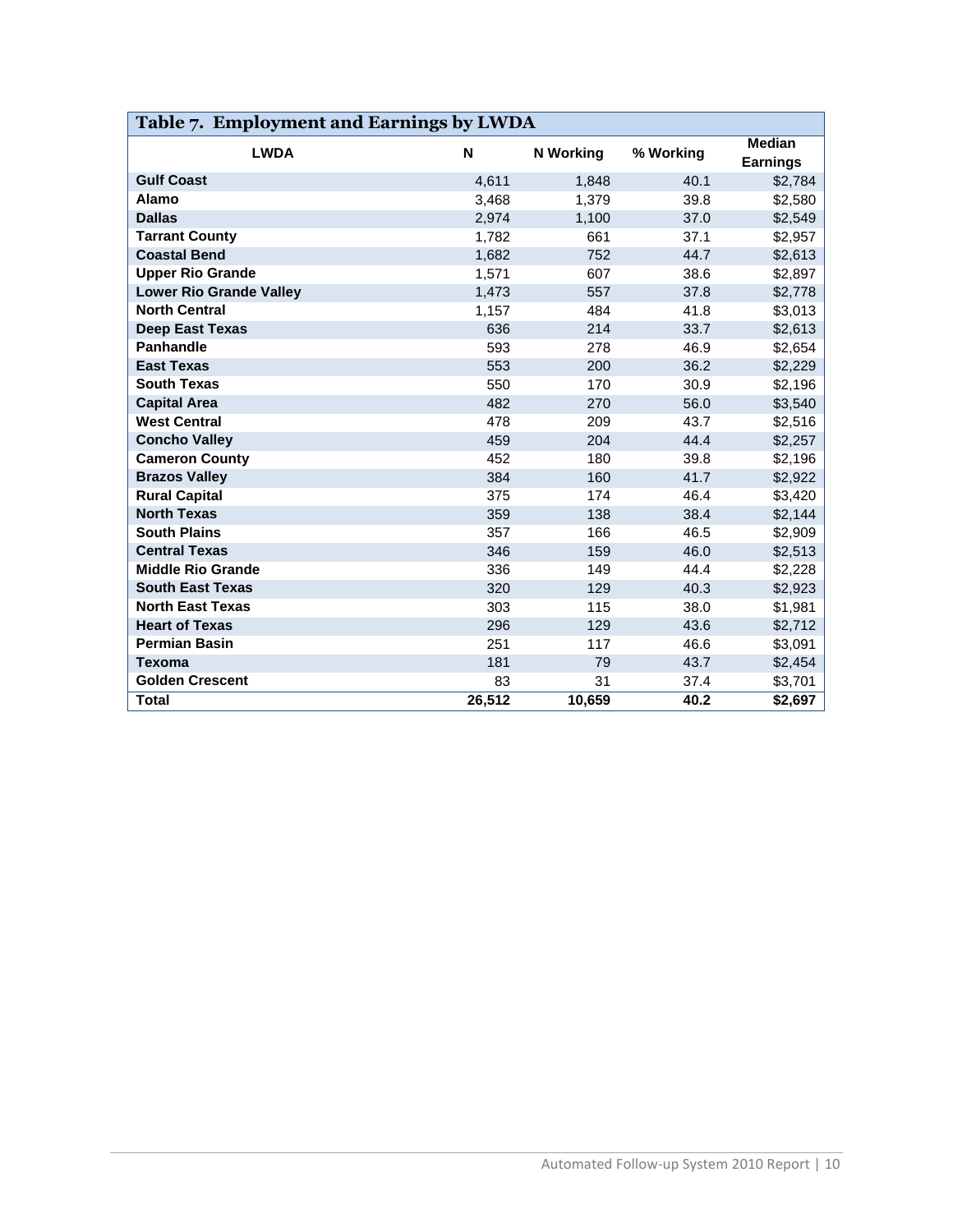| Table 7. Employment and Earnings by LWDA |        |                  |           |                                  |  |  |  |  |  |
|------------------------------------------|--------|------------------|-----------|----------------------------------|--|--|--|--|--|
| <b>LWDA</b>                              | N      | <b>N</b> Working | % Working | <b>Median</b><br><b>Earnings</b> |  |  |  |  |  |
| <b>Gulf Coast</b>                        | 4,611  | 1,848            | 40.1      | \$2,784                          |  |  |  |  |  |
| Alamo                                    | 3,468  | 1,379            | 39.8      | \$2,580                          |  |  |  |  |  |
| <b>Dallas</b>                            | 2,974  | 1,100            | 37.0      | \$2,549                          |  |  |  |  |  |
| <b>Tarrant County</b>                    | 1,782  | 661              | 37.1      | \$2,957                          |  |  |  |  |  |
| <b>Coastal Bend</b>                      | 1,682  | 752              | 44.7      | \$2,613                          |  |  |  |  |  |
| <b>Upper Rio Grande</b>                  | 1,571  | 607              | 38.6      | \$2,897                          |  |  |  |  |  |
| <b>Lower Rio Grande Valley</b>           | 1,473  | 557              | 37.8      | \$2,778                          |  |  |  |  |  |
| <b>North Central</b>                     | 1,157  | 484              | 41.8      | \$3,013                          |  |  |  |  |  |
| <b>Deep East Texas</b>                   | 636    | 214              | 33.7      | \$2,613                          |  |  |  |  |  |
| <b>Panhandle</b>                         | 593    | 278              | 46.9      | \$2,654                          |  |  |  |  |  |
| <b>East Texas</b>                        | 553    | 200              | 36.2      | \$2,229                          |  |  |  |  |  |
| <b>South Texas</b>                       | 550    | 170              | 30.9      | \$2,196                          |  |  |  |  |  |
| <b>Capital Area</b>                      | 482    | 270              | 56.0      | \$3,540                          |  |  |  |  |  |
| <b>West Central</b>                      | 478    | 209              | 43.7      | \$2,516                          |  |  |  |  |  |
| <b>Concho Valley</b>                     | 459    | 204              | 44.4      | \$2,257                          |  |  |  |  |  |
| <b>Cameron County</b>                    | 452    | 180              | 39.8      | \$2,196                          |  |  |  |  |  |
| <b>Brazos Valley</b>                     | 384    | 160              | 41.7      | \$2,922                          |  |  |  |  |  |
| <b>Rural Capital</b>                     | 375    | 174              | 46.4      | \$3,420                          |  |  |  |  |  |
| <b>North Texas</b>                       | 359    | 138              | 38.4      | \$2,144                          |  |  |  |  |  |
| <b>South Plains</b>                      | 357    | 166              | 46.5      | \$2,909                          |  |  |  |  |  |
| <b>Central Texas</b>                     | 346    | 159              | 46.0      | \$2,513                          |  |  |  |  |  |
| <b>Middle Rio Grande</b>                 | 336    | 149              | 44.4      | \$2,228                          |  |  |  |  |  |
| <b>South East Texas</b>                  | 320    | 129              | 40.3      | \$2,923                          |  |  |  |  |  |
| <b>North East Texas</b>                  | 303    | 115              | 38.0      | \$1,981                          |  |  |  |  |  |
| <b>Heart of Texas</b>                    | 296    | 129              | 43.6      | \$2,712                          |  |  |  |  |  |
| <b>Permian Basin</b>                     | 251    | 117              | 46.6      | \$3,091                          |  |  |  |  |  |
| <b>Texoma</b>                            | 181    | 79               | 43.7      | \$2,454                          |  |  |  |  |  |
| <b>Golden Crescent</b>                   | 83     | 31               | 37.4      | \$3,701                          |  |  |  |  |  |
| <b>Total</b>                             | 26,512 | 10,659           | 40.2      | \$2,697                          |  |  |  |  |  |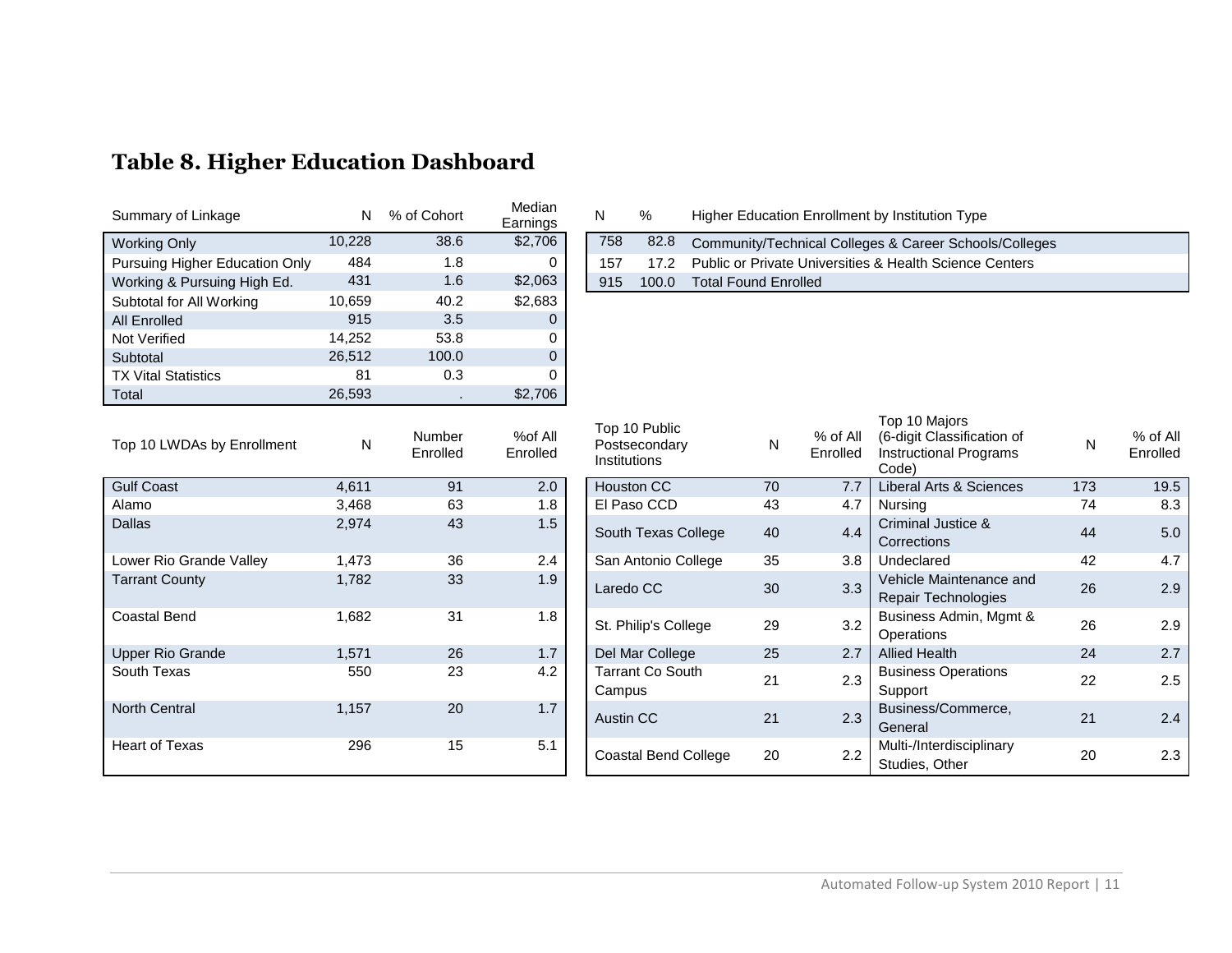| Summary of Linkage             | N      | % of Cohort | Median<br>Earnings | N   | %     | Higher Education Enrollment by Institution Type         |
|--------------------------------|--------|-------------|--------------------|-----|-------|---------------------------------------------------------|
| <b>Working Only</b>            | 10,228 | 38.6        | \$2,706            | 758 | 82.8  | Community/Technical Colleges & Career Schools/Colle     |
| Pursuing Higher Education Only | 484    | 1.8         |                    | 157 | 17.2  | Public or Private Universities & Health Science Centers |
| Working & Pursuing High Ed.    | 431    | 1.6         | \$2,063            | 915 | 100.0 | <b>Total Found Enrolled</b>                             |
| Subtotal for All Working       | 10,659 | 40.2        | \$2,683            |     |       |                                                         |
| <b>All Enrolled</b>            | 915    | 3.5         | 0                  |     |       |                                                         |
| Not Verified                   | 14.252 | 53.8        | 0                  |     |       |                                                         |
| Subtotal                       | 26.512 | 100.0       | 0                  |     |       |                                                         |
| <b>TX Vital Statistics</b>     | 81     | 0.3         |                    |     |       |                                                         |
| Total                          | 26,593 |             | \$2,706            |     |       |                                                         |

# **Table 8. Higher Education Dashboard**

| Summary of Linkage             |        | % of Cohort | <b>IVIEUIAII</b><br>Earnings |     |       | Higher Education Enrollment by Institution Type         |
|--------------------------------|--------|-------------|------------------------------|-----|-------|---------------------------------------------------------|
| Working Only                   | 10.228 | 38.6        | \$2,706                      | 758 | 82.8  | Community/Technical Colleges & Career Schools/Colleges  |
| Pursuing Higher Education Only | 484    |             |                              | 157 | 17.2  | Public or Private Universities & Health Science Centers |
| Working & Pursuing High Ed.    | 431    |             | \$2,063                      | 915 | 100.0 | <b>Total Found Enrolled</b>                             |

| Top 10 LWDAs by Enrollment | N     | <b>Number</b><br>Enrolled | %of All<br>Enrolled | LOD TO PUDIIC<br>Postsecondary<br><b>Institutions</b> | N  | % of All<br>Enrolled | (6-digit Classification of<br><b>Instructional Programs</b><br>Code) |
|----------------------------|-------|---------------------------|---------------------|-------------------------------------------------------|----|----------------------|----------------------------------------------------------------------|
| <b>Gulf Coast</b>          | 4,611 | 91                        | 2.0                 | <b>Houston CC</b>                                     | 70 | 7.7                  | Liberal Arts & Sciences                                              |
| Alamo                      | 3,468 | 63                        | 1.8                 | El Paso CCD                                           | 43 | 4.7                  | Nursing                                                              |
| <b>Dallas</b>              | 2,974 | 43                        | 1.5                 | South Texas College                                   | 40 | 4.4                  | Criminal Justice &<br>Corrections                                    |
| Lower Rio Grande Valley    | 1,473 | 36                        | 2.4                 | San Antonio College                                   | 35 | 3.8                  | Undeclared                                                           |
| <b>Tarrant County</b>      | 1,782 | 33                        | 1.9                 | Laredo CC                                             | 30 | 3.3                  | Vehicle Maintenance and<br><b>Repair Technologies</b>                |
| <b>Coastal Bend</b>        | 1,682 | 31                        | 1.8                 | St. Philip's College                                  | 29 | 3.2                  | Business Admin, Mgmt &<br>Operations                                 |
| <b>Upper Rio Grande</b>    | 1,571 | 26                        | 1.7                 | Del Mar College                                       | 25 | 2.7                  | <b>Allied Health</b>                                                 |
| South Texas                | 550   | 23                        | 4.2                 | Tarrant Co South<br>Campus                            | 21 | 2.3                  | <b>Business Operations</b><br>Support                                |
| <b>North Central</b>       | 1,157 | 20                        | 1.7                 | Austin CC                                             | 21 | 2.3                  | Business/Commerce,<br>General                                        |
| Heart of Texas             | 296   | 15                        | 5.1                 | <b>Coastal Bend College</b>                           | 20 | 2.2                  | Multi-/Interdisciplinary<br>Studies, Other                           |

| Top 10 LWDAs by Enrollment | N     | <b>Number</b><br>Enrolled | %of All<br>Enrolled | Top 10 Public<br>Postsecondary<br>Institutions | N  | % of All<br>Enrolled | Top 10 Majors<br>(6-digit Classification of<br><b>Instructional Programs</b><br>Code) | N   | % of All<br>Enrolled |
|----------------------------|-------|---------------------------|---------------------|------------------------------------------------|----|----------------------|---------------------------------------------------------------------------------------|-----|----------------------|
| <b>Gulf Coast</b>          | 4,611 | 91                        | 2.0                 | Houston CC                                     | 70 | 7.7                  | Liberal Arts & Sciences                                                               | 173 | 19.5                 |
| Alamo                      | 3,468 | 63                        | 1.8                 | El Paso CCD                                    | 43 | 4.7                  | Nursing                                                                               | 74  | 8.3                  |
| Dallas                     | 2,974 | 43                        | 1.5                 | South Texas College                            | 40 | 4.4                  | Criminal Justice &<br>Corrections                                                     | 44  | 5.0                  |
| Lower Rio Grande Valley    | 1,473 | 36                        | 2.4                 | San Antonio College                            | 35 | 3.8                  | Undeclared                                                                            | 42  | 4.7                  |
| <b>Tarrant County</b>      | 1,782 | 33                        | 1.9                 | Laredo CC                                      | 30 | 3.3                  | Vehicle Maintenance and<br><b>Repair Technologies</b>                                 | 26  | 2.9                  |
| Coastal Bend               | 1,682 | 31                        | 1.8                 | St. Philip's College                           | 29 | 3.2                  | Business Admin, Mgmt &<br><b>Operations</b>                                           | 26  | 2.9                  |
| Upper Rio Grande           | 1,571 | 26                        | 1.7                 | Del Mar College                                | 25 | 2.7                  | <b>Allied Health</b>                                                                  | 24  | 2.7                  |
| South Texas                | 550   | 23                        | 4.2                 | Tarrant Co South<br>Campus                     | 21 | 2.3                  | <b>Business Operations</b><br>Support                                                 | 22  | 2.5                  |
| <b>North Central</b>       | 1,157 | 20                        | 1.7                 | Austin CC                                      | 21 | 2.3                  | Business/Commerce,<br>General                                                         | 21  | 2.4                  |
| Heart of Texas             | 296   | 15                        | 5.1                 | Coastal Bend College                           | 20 | 2.2                  | Multi-/Interdisciplinary<br>Studies, Other                                            | 20  | 2.3                  |